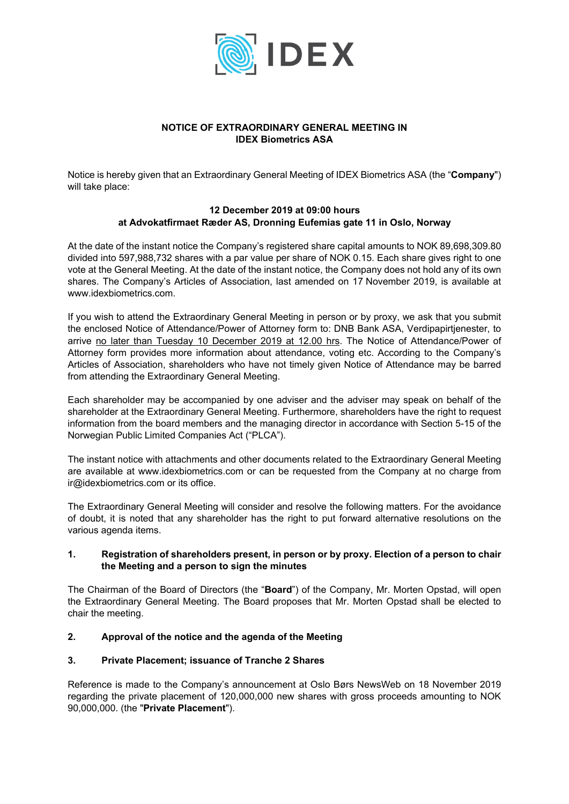

# **NOTICE OF EXTRAORDINARY GENERAL MEETING IN IDEX Biometrics ASA**

Notice is hereby given that an Extraordinary General Meeting of IDEX Biometrics ASA (the "**Company**") will take place:

# **12 December 2019 at 09:00 hours at Advokatfirmaet Ræder AS, Dronning Eufemias gate 11 in Oslo, Norway**

At the date of the instant notice the Company's registered share capital amounts to NOK 89,698,309.80 divided into 597,988,732 shares with a par value per share of NOK 0.15. Each share gives right to one vote at the General Meeting. At the date of the instant notice, the Company does not hold any of its own shares. The Company's Articles of Association, last amended on 17 November 2019, is available at www.idexbiometrics.com.

If you wish to attend the Extraordinary General Meeting in person or by proxy, we ask that you submit the enclosed Notice of Attendance/Power of Attorney form to: DNB Bank ASA, Verdipapirtjenester, to arrive no later than Tuesday 10 December 2019 at 12.00 hrs. The Notice of Attendance/Power of Attorney form provides more information about attendance, voting etc. According to the Company's Articles of Association, shareholders who have not timely given Notice of Attendance may be barred from attending the Extraordinary General Meeting.

Each shareholder may be accompanied by one adviser and the adviser may speak on behalf of the shareholder at the Extraordinary General Meeting. Furthermore, shareholders have the right to request information from the board members and the managing director in accordance with Section 5-15 of the Norwegian Public Limited Companies Act ("PLCA").

The instant notice with attachments and other documents related to the Extraordinary General Meeting are available at www.idexbiometrics.com or can be requested from the Company at no charge from ir@idexbiometrics.com or its office.

The Extraordinary General Meeting will consider and resolve the following matters. For the avoidance of doubt, it is noted that any shareholder has the right to put forward alternative resolutions on the various agenda items.

# **1. Registration of shareholders present, in person or by proxy. Election of a person to chair the Meeting and a person to sign the minutes**

The Chairman of the Board of Directors (the "**Board**") of the Company, Mr. Morten Opstad, will open the Extraordinary General Meeting. The Board proposes that Mr. Morten Opstad shall be elected to chair the meeting.

# **2. Approval of the notice and the agenda of the Meeting**

# **3. Private Placement; issuance of Tranche 2 Shares**

Reference is made to the Company's announcement at Oslo Børs NewsWeb on 18 November 2019 regarding the private placement of 120,000,000 new shares with gross proceeds amounting to NOK 90,000,000. (the "**Private Placement**").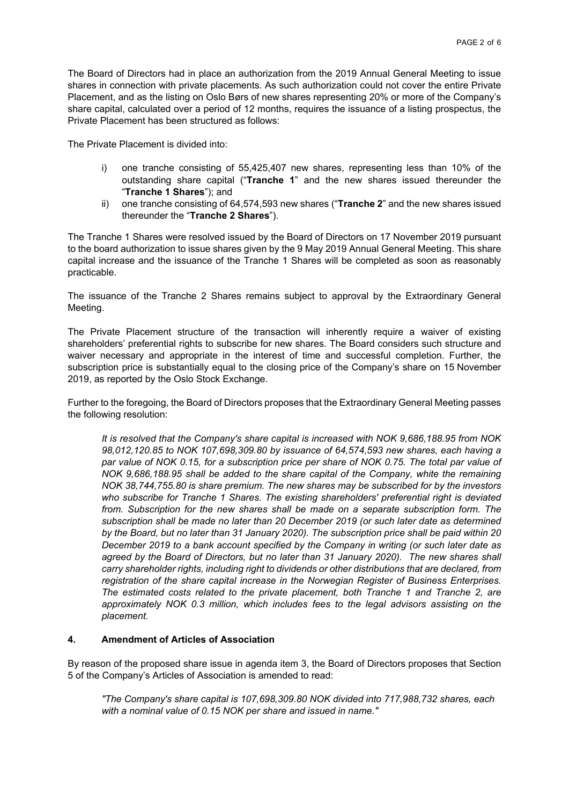The Board of Directors had in place an authorization from the 2019 Annual General Meeting to issue shares in connection with private placements. As such authorization could not cover the entire Private Placement, and as the listing on Oslo Børs of new shares representing 20% or more of the Company's share capital, calculated over a period of 12 months, requires the issuance of a listing prospectus, the Private Placement has been structured as follows:

The Private Placement is divided into:

- i) one tranche consisting of 55,425,407 new shares, representing less than 10% of the outstanding share capital ("**Tranche 1**" and the new shares issued thereunder the "**Tranche 1 Shares**"); and
- ii) one tranche consisting of 64,574,593 new shares ("**Tranche 2**" and the new shares issued thereunder the "**Tranche 2 Shares**").

The Tranche 1 Shares were resolved issued by the Board of Directors on 17 November 2019 pursuant to the board authorization to issue shares given by the 9 May 2019 Annual General Meeting. This share capital increase and the issuance of the Tranche 1 Shares will be completed as soon as reasonably practicable.

The issuance of the Tranche 2 Shares remains subject to approval by the Extraordinary General Meeting.

The Private Placement structure of the transaction will inherently require a waiver of existing shareholders' preferential rights to subscribe for new shares. The Board considers such structure and waiver necessary and appropriate in the interest of time and successful completion. Further, the subscription price is substantially equal to the closing price of the Company's share on 15 November 2019, as reported by the Oslo Stock Exchange.

Further to the foregoing, the Board of Directors proposes that the Extraordinary General Meeting passes the following resolution:

*It is resolved that the Company's share capital is increased with NOK 9,686,188.95 from NOK 98,012,120.85 to NOK 107,698,309.80 by issuance of 64,574,593 new shares, each having a par value of NOK 0.15, for a subscription price per share of NOK 0.75. The total par value of NOK 9,686,188.95 shall be added to the share capital of the Company, white the remaining NOK 38,744,755.80 is share premium. The new shares may be subscribed for by the investors who subscribe for Tranche 1 Shares. The existing shareholders' preferential right is deviated from. Subscription for the new shares shall be made on a separate subscription form. The subscription shall be made no later than 20 December 2019 (or such later date as determined by the Board, but no later than 31 January 2020). The subscription price shall be paid within 20 December 2019 to a bank account specified by the Company in writing (or such later date as agreed by the Board of Directors, but no later than 31 January 2020). The new shares shall carry shareholder rights, including right to dividends or other distributions that are declared, from registration of the share capital increase in the Norwegian Register of Business Enterprises. The estimated costs related to the private placement, both Tranche 1 and Tranche 2, are approximately NOK 0.3 million, which includes fees to the legal advisors assisting on the placement.* 

# **4. Amendment of Articles of Association**

By reason of the proposed share issue in agenda item 3, the Board of Directors proposes that Section 5 of the Company's Articles of Association is amended to read:

*"The Company's share capital is 107,698,309.80 NOK divided into 717,988,732 shares, each with a nominal value of 0.15 NOK per share and issued in name."*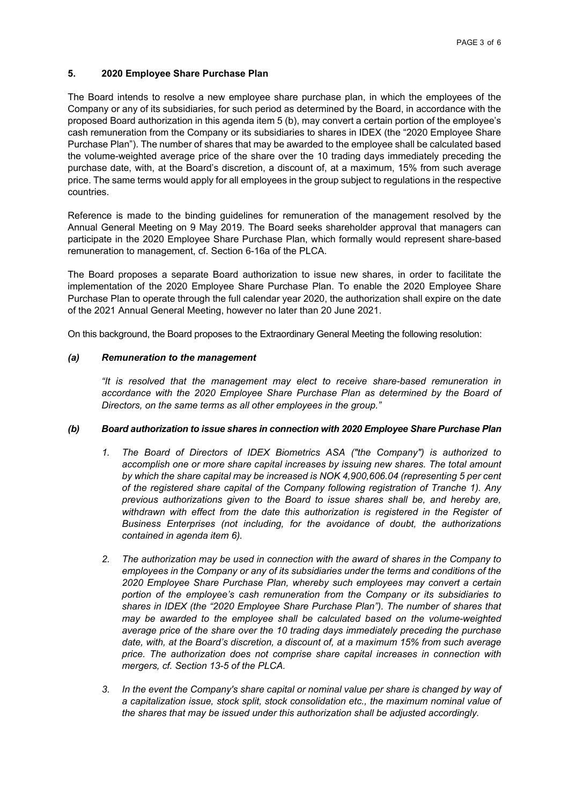## **5. 2020 Employee Share Purchase Plan**

The Board intends to resolve a new employee share purchase plan, in which the employees of the Company or any of its subsidiaries, for such period as determined by the Board, in accordance with the proposed Board authorization in this agenda item 5 (b), may convert a certain portion of the employee's cash remuneration from the Company or its subsidiaries to shares in IDEX (the "2020 Employee Share Purchase Plan"). The number of shares that may be awarded to the employee shall be calculated based the volume-weighted average price of the share over the 10 trading days immediately preceding the purchase date, with, at the Board's discretion, a discount of, at a maximum, 15% from such average price. The same terms would apply for all employees in the group subject to regulations in the respective countries.

Reference is made to the binding guidelines for remuneration of the management resolved by the Annual General Meeting on 9 May 2019. The Board seeks shareholder approval that managers can participate in the 2020 Employee Share Purchase Plan, which formally would represent share-based remuneration to management, cf. Section 6-16a of the PLCA.

The Board proposes a separate Board authorization to issue new shares, in order to facilitate the implementation of the 2020 Employee Share Purchase Plan. To enable the 2020 Employee Share Purchase Plan to operate through the full calendar year 2020, the authorization shall expire on the date of the 2021 Annual General Meeting, however no later than 20 June 2021.

On this background, the Board proposes to the Extraordinary General Meeting the following resolution:

## *(a) Remuneration to the management*

*"It is resolved that the management may elect to receive share-based remuneration in*  accordance with the 2020 Employee Share Purchase Plan as determined by the Board of *Directors, on the same terms as all other employees in the group."* 

#### *(b) Board authorization to issue shares in connection with 2020 Employee Share Purchase Plan*

- *1. The Board of Directors of IDEX Biometrics ASA ("the Company") is authorized to accomplish one or more share capital increases by issuing new shares. The total amount by which the share capital may be increased is NOK 4,900,606.04 (representing 5 per cent of the registered share capital of the Company following registration of Tranche 1). Any previous authorizations given to the Board to issue shares shall be, and hereby are,*  withdrawn with effect from the date this authorization is registered in the Register of *Business Enterprises (not including, for the avoidance of doubt, the authorizations contained in agenda item 6).*
- *2. The authorization may be used in connection with the award of shares in the Company to employees in the Company or any of its subsidiaries under the terms and conditions of the 2020 Employee Share Purchase Plan, whereby such employees may convert a certain portion of the employee's cash remuneration from the Company or its subsidiaries to shares in IDEX (the "2020 Employee Share Purchase Plan"). The number of shares that may be awarded to the employee shall be calculated based on the volume-weighted average price of the share over the 10 trading days immediately preceding the purchase date, with, at the Board's discretion, a discount of, at a maximum 15% from such average price. The authorization does not comprise share capital increases in connection with mergers, cf. Section 13-5 of the PLCA.*
- *3. In the event the Company's share capital or nominal value per share is changed by way of a capitalization issue, stock split, stock consolidation etc., the maximum nominal value of the shares that may be issued under this authorization shall be adjusted accordingly.*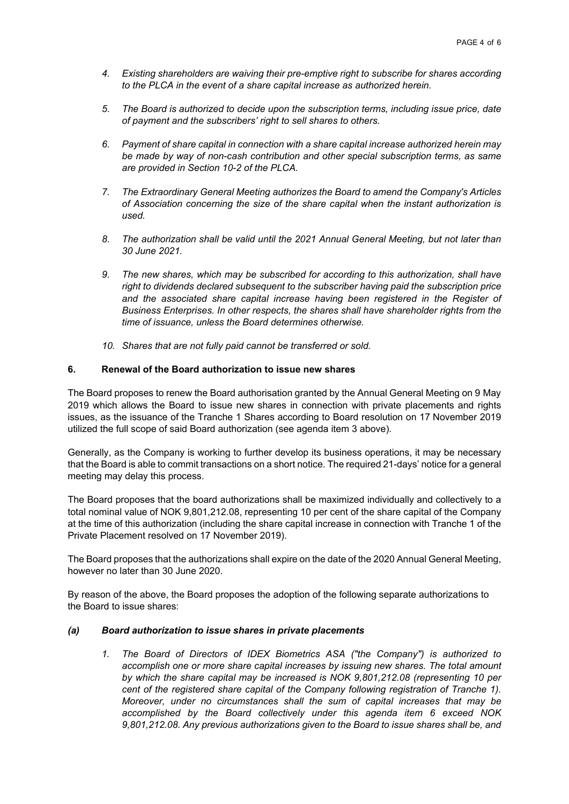- *4. Existing shareholders are waiving their pre-emptive right to subscribe for shares according to the PLCA in the event of a share capital increase as authorized herein.*
- *5. The Board is authorized to decide upon the subscription terms, including issue price, date of payment and the subscribers' right to sell shares to others.*
- *6. Payment of share capital in connection with a share capital increase authorized herein may be made by way of non-cash contribution and other special subscription terms, as same are provided in Section 10-2 of the PLCA.*
- *7. The Extraordinary General Meeting authorizes the Board to amend the Company's Articles of Association concerning the size of the share capital when the instant authorization is used.*
- *8. The authorization shall be valid until the 2021 Annual General Meeting, but not later than 30 June 2021.*
- *9. The new shares, which may be subscribed for according to this authorization, shall have right to dividends declared subsequent to the subscriber having paid the subscription price and the associated share capital increase having been registered in the Register of Business Enterprises. In other respects, the shares shall have shareholder rights from the time of issuance, unless the Board determines otherwise.*
- *10. Shares that are not fully paid cannot be transferred or sold.*

## **6. Renewal of the Board authorization to issue new shares**

The Board proposes to renew the Board authorisation granted by the Annual General Meeting on 9 May 2019 which allows the Board to issue new shares in connection with private placements and rights issues, as the issuance of the Tranche 1 Shares according to Board resolution on 17 November 2019 utilized the full scope of said Board authorization (see agenda item 3 above).

Generally, as the Company is working to further develop its business operations, it may be necessary that the Board is able to commit transactions on a short notice. The required 21-days' notice for a general meeting may delay this process.

The Board proposes that the board authorizations shall be maximized individually and collectively to a total nominal value of NOK 9,801,212.08, representing 10 per cent of the share capital of the Company at the time of this authorization (including the share capital increase in connection with Tranche 1 of the Private Placement resolved on 17 November 2019).

The Board proposes that the authorizations shall expire on the date of the 2020 Annual General Meeting, however no later than 30 June 2020.

By reason of the above, the Board proposes the adoption of the following separate authorizations to the Board to issue shares:

#### *(a) Board authorization to issue shares in private placements*

*1. The Board of Directors of IDEX Biometrics ASA ("the Company") is authorized to accomplish one or more share capital increases by issuing new shares. The total amount by which the share capital may be increased is NOK 9,801,212.08 (representing 10 per cent of the registered share capital of the Company following registration of Tranche 1). Moreover, under no circumstances shall the sum of capital increases that may be accomplished by the Board collectively under this agenda item 6 exceed NOK 9,801,212.08. Any previous authorizations given to the Board to issue shares shall be, and*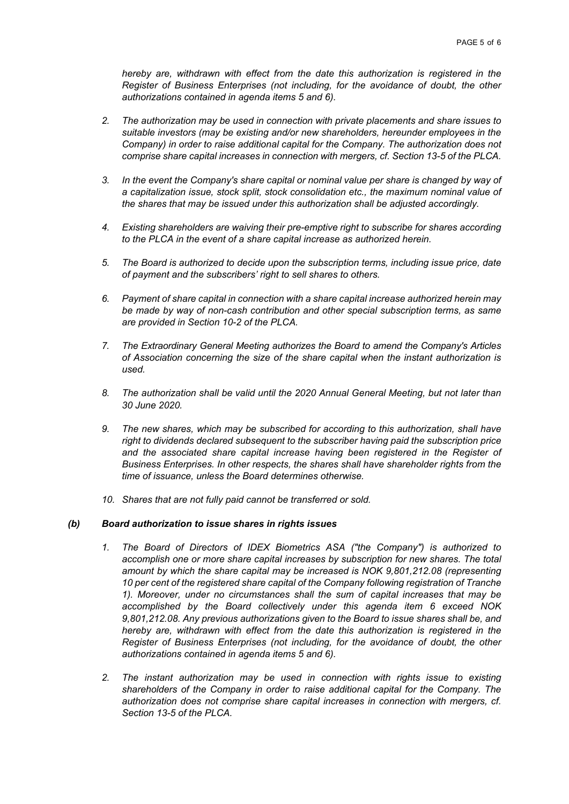*hereby are, withdrawn with effect from the date this authorization is registered in the Register of Business Enterprises (not including, for the avoidance of doubt, the other authorizations contained in agenda items 5 and 6).* 

- *2. The authorization may be used in connection with private placements and share issues to suitable investors (may be existing and/or new shareholders, hereunder employees in the Company) in order to raise additional capital for the Company. The authorization does not comprise share capital increases in connection with mergers, cf. Section 13-5 of the PLCA.*
- *3. In the event the Company's share capital or nominal value per share is changed by way of a capitalization issue, stock split, stock consolidation etc., the maximum nominal value of the shares that may be issued under this authorization shall be adjusted accordingly.*
- *4. Existing shareholders are waiving their pre-emptive right to subscribe for shares according to the PLCA in the event of a share capital increase as authorized herein.*
- *5. The Board is authorized to decide upon the subscription terms, including issue price, date of payment and the subscribers' right to sell shares to others.*
- *6. Payment of share capital in connection with a share capital increase authorized herein may be made by way of non-cash contribution and other special subscription terms, as same are provided in Section 10-2 of the PLCA.*
- *7. The Extraordinary General Meeting authorizes the Board to amend the Company's Articles of Association concerning the size of the share capital when the instant authorization is used.*
- *8. The authorization shall be valid until the 2020 Annual General Meeting, but not later than 30 June 2020.*
- *9. The new shares, which may be subscribed for according to this authorization, shall have right to dividends declared subsequent to the subscriber having paid the subscription price and the associated share capital increase having been registered in the Register of Business Enterprises. In other respects, the shares shall have shareholder rights from the time of issuance, unless the Board determines otherwise.*
- *10. Shares that are not fully paid cannot be transferred or sold.*

#### *(b) Board authorization to issue shares in rights issues*

- *1. The Board of Directors of IDEX Biometrics ASA ("the Company") is authorized to accomplish one or more share capital increases by subscription for new shares. The total amount by which the share capital may be increased is NOK 9,801,212.08 (representing 10 per cent of the registered share capital of the Company following registration of Tranche 1). Moreover, under no circumstances shall the sum of capital increases that may be accomplished by the Board collectively under this agenda item 6 exceed NOK 9,801,212.08. Any previous authorizations given to the Board to issue shares shall be, and hereby are, withdrawn with effect from the date this authorization is registered in the Register of Business Enterprises (not including, for the avoidance of doubt, the other authorizations contained in agenda items 5 and 6).*
- *2. The instant authorization may be used in connection with rights issue to existing shareholders of the Company in order to raise additional capital for the Company. The authorization does not comprise share capital increases in connection with mergers, cf. Section 13-5 of the PLCA.*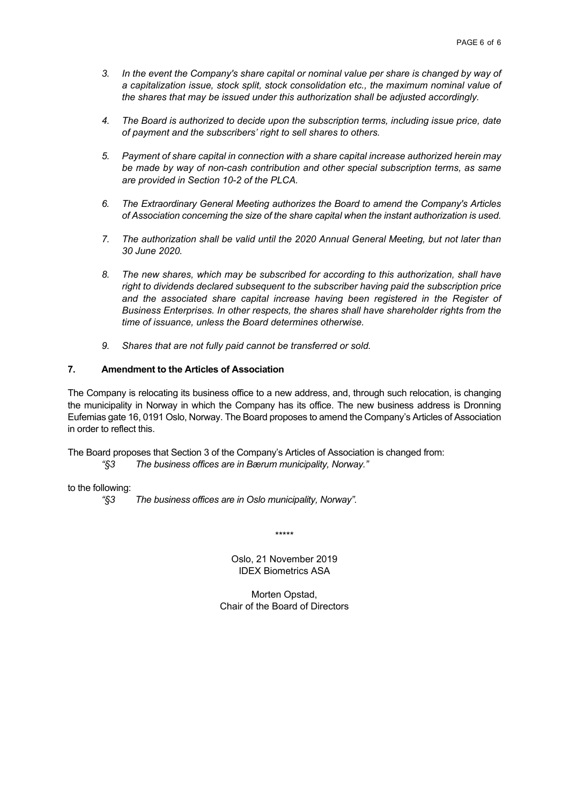- *3. In the event the Company's share capital or nominal value per share is changed by way of a capitalization issue, stock split, stock consolidation etc., the maximum nominal value of the shares that may be issued under this authorization shall be adjusted accordingly.*
- *4. The Board is authorized to decide upon the subscription terms, including issue price, date of payment and the subscribers' right to sell shares to others.*
- *5. Payment of share capital in connection with a share capital increase authorized herein may be made by way of non-cash contribution and other special subscription terms, as same are provided in Section 10-2 of the PLCA.*
- *6. The Extraordinary General Meeting authorizes the Board to amend the Company's Articles of Association concerning the size of the share capital when the instant authorization is used.*
- *7. The authorization shall be valid until the 2020 Annual General Meeting, but not later than 30 June 2020.*
- *8. The new shares, which may be subscribed for according to this authorization, shall have right to dividends declared subsequent to the subscriber having paid the subscription price and the associated share capital increase having been registered in the Register of Business Enterprises. In other respects, the shares shall have shareholder rights from the time of issuance, unless the Board determines otherwise.*
- *9. Shares that are not fully paid cannot be transferred or sold.*

## **7. Amendment to the Articles of Association**

The Company is relocating its business office to a new address, and, through such relocation, is changing the municipality in Norway in which the Company has its office. The new business address is Dronning Eufemias gate 16, 0191 Oslo, Norway. The Board proposes to amend the Company's Articles of Association in order to reflect this.

The Board proposes that Section 3 of the Company's Articles of Association is changed from:  *"§3 The business offices are in Bærum municipality, Norway."* 

to the following:

 *"§3 The business offices are in Oslo municipality, Norway".*

\*\*\*\*\*

Oslo, 21 November 2019 IDEX Biometrics ASA

Morten Opstad, Chair of the Board of Directors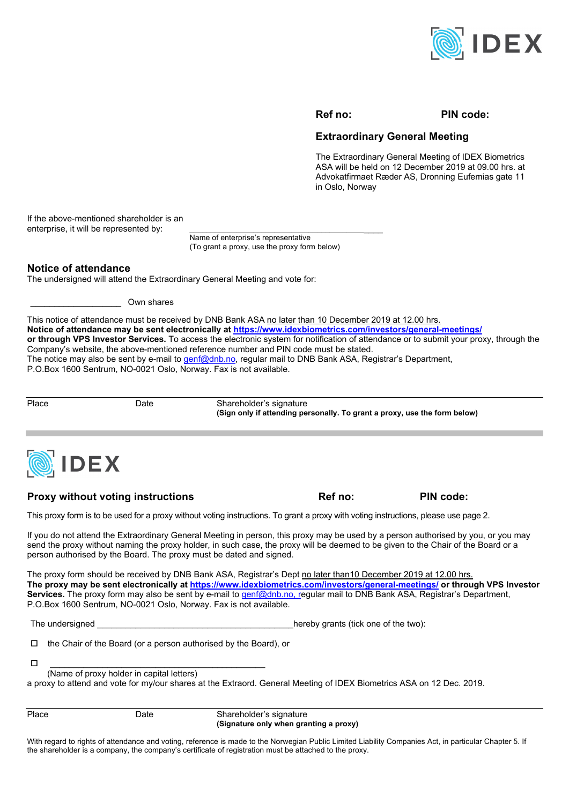

#### **Ref no: PIN code:**

# **Extraordinary General Meeting**

The Extraordinary General Meeting of IDEX Biometrics ASA will be held on 12 December 2019 at 09.00 hrs. at Advokatfirmaet Ræder AS, Dronning Eufemias gate 11 in Oslo, Norway

If the above-mentioned shareholder is an enterprise, it will be represented by:

> Name of enterprise's representative (To grant a proxy, use the proxy form below)

### **Notice of attendance**

The undersigned will attend the Extraordinary General Meeting and vote for:

\_\_\_\_\_\_\_\_\_\_\_\_\_\_\_\_\_\_\_ Own shares

This notice of attendance must be received by DNB Bank ASA no later than 10 December 2019 at 12.00 hrs. **Notice of attendance may be sent electronically at https://www.idexbiometrics.com/investors/general-meetings/ or through VPS Investor Services.** To access the electronic system for notification of attendance or to submit your proxy, through the Company's website, the above-mentioned reference number and PIN code must be stated. The notice may also be sent by e-mail to genf@dnb.no, regular mail to DNB Bank ASA, Registrar's Department, P.O.Box 1600 Sentrum, NO-0021 Oslo, Norway. Fax is not available.

Place Date Date Shareholder's signature  **(Sign only if attending personally. To grant a proxy, use the form below)** 



#### **Proxy without voting instructions The Community Community Ref no: PIN code:** PIN code:

This proxy form is to be used for a proxy without voting instructions. To grant a proxy with voting instructions, please use page 2.

If you do not attend the Extraordinary General Meeting in person, this proxy may be used by a person authorised by you, or you may send the proxy without naming the proxy holder, in such case, the proxy will be deemed to be given to the Chair of the Board or a person authorised by the Board. The proxy must be dated and signed.

The proxy form should be received by DNB Bank ASA, Registrar's Dept no later than10 December 2019 at 12.00 hrs. **The proxy may be sent electronically at https://www.idexbiometrics.com/investors/general-meetings/ or through VPS Investor**  Services. The proxy form may also be sent by e-mail to genf@dnb.no, regular mail to DNB Bank ASA, Registrar's Department, P.O.Box 1600 Sentrum, NO-0021 Oslo, Norway. Fax is not available.

The undersigned The undersigned the undersigned the two is the two is the two is the two is the two is the two i

 $\Box$  the Chair of the Board (or a person authorised by the Board), or

\_\_\_\_\_\_\_\_\_\_\_\_\_\_\_\_\_\_\_\_\_\_\_\_\_\_\_\_\_\_\_\_\_\_\_\_\_\_\_\_\_\_\_\_\_

(Name of proxy holder in capital letters)

a proxy to attend and vote for my/our shares at the Extraord. General Meeting of IDEX Biometrics ASA on 12 Dec. 2019.

Place Date Shareholder's signature  **(Signature only when granting a proxy)** 

With regard to rights of attendance and voting, reference is made to the Norwegian Public Limited Liability Companies Act, in particular Chapter 5. If the shareholder is a company, the company's certificate of registration must be attached to the proxy.